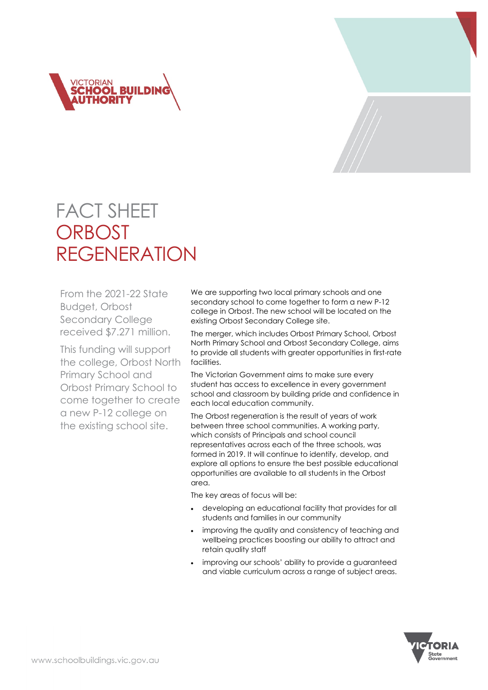



# FACT SHEET **ORBOST** REGENERATION

From the 2021-22 State Budget, Orbost Secondary College received \$7.271 million.

This funding will support the college, Orbost North Primary School and Orbost Primary School to come together to create a new P-12 college on the existing school site.

We are supporting two local primary schools and one secondary school to come together to form a new P-12 college in Orbost. The new school will be located on the existing Orbost Secondary College site.

The merger, which includes Orbost Primary School, Orbost North Primary School and Orbost Secondary College, aims to provide all students with greater opportunities in first-rate facilities.

The Victorian Government aims to make sure every student has access to excellence in every government school and classroom by building pride and confidence in each local education community.

The Orbost regeneration is the result of years of work between three school communities. A working party, which consists of Principals and school council representatives across each of the three schools, was formed in 2019. It will continue to identify, develop, and explore all options to ensure the best possible educational opportunities are available to all students in the Orbost area.

The key areas of focus will be:

- developing an educational facility that provides for all students and families in our community
- improving the quality and consistency of teaching and wellbeing practices boosting our ability to attract and retain quality staff
- improving our schools' ability to provide a quaranteed and viable curriculum across a range of subject areas.

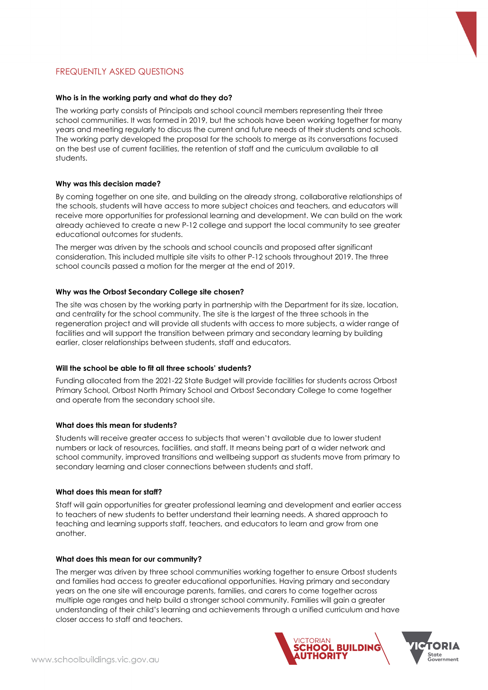

## FREQUENTLY ASKED QUESTIONS

#### **Who is in the working party and what do they do?**

The working party consists of Principals and school council members representing their three school communities. It was formed in 2019, but the schools have been working together for many years and meeting regularly to discuss the current and future needs of their students and schools. The working party developed the proposal for the schools to merge as its conversations focused on the best use of current facilities, the retention of staff and the curriculum available to all students.

#### **Why was this decision made?**

By coming together on one site, and building on the already strong, collaborative relationships of the schools, students will have access to more subject choices and teachers, and educators will receive more opportunities for professional learning and development. We can build on the work already achieved to create a new P-12 college and support the local community to see greater educational outcomes for students.

The merger was driven by the schools and school councils and proposed after significant consideration. This included multiple site visits to other P-12 schools throughout 2019. The three school councils passed a motion for the merger at the end of 2019.

#### **Why was the Orbost Secondary College site chosen?**

The site was chosen by the working party in partnership with the Department for its size, location, and centrality for the school community. The site is the largest of the three schools in the regeneration project and will provide all students with access to more subjects, a wider range of facilities and will support the transition between primary and secondary learning by building earlier, closer relationships between students, staff and educators.

#### **Will the school be able to fit all three schools' students?**

Funding allocated from the 2021-22 State Budget will provide facilities for students across Orbost Primary School, Orbost North Primary School and Orbost Secondary College to come together and operate from the secondary school site.

#### **What does this mean for students?**

Students will receive greater access to subjects that weren't available due to lower student numbers or lack of resources, facilities, and staff. It means being part of a wider network and school community, improved transitions and wellbeing support as students move from primary to secondary learning and closer connections between students and staff.

#### **What does this mean for staff?**

Staff will gain opportunities for greater professional learning and development and earlier access to teachers of new students to better understand their learning needs. A shared approach to teaching and learning supports staff, teachers, and educators to learn and grow from one another.

#### **What does this mean for our community?**

The merger was driven by three school communities working together to ensure Orbost students and families had access to greater educational opportunities. Having primary and secondary years on the one site will encourage parents, families, and carers to come together across multiple age ranges and help build a stronger school community. Families will gain a greater understanding of their child's learning and achievements through a unified curriculum and have closer access to staff and teachers.